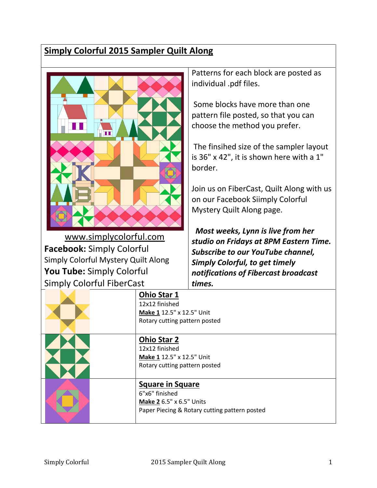## **Simply Colorful 2015 Sampler Quilt Along**

|                                     |                                                                              | Patterns for each block are posted as                                                                                                                                                                                                                                                                                   |
|-------------------------------------|------------------------------------------------------------------------------|-------------------------------------------------------------------------------------------------------------------------------------------------------------------------------------------------------------------------------------------------------------------------------------------------------------------------|
|                                     |                                                                              | individual .pdf files.                                                                                                                                                                                                                                                                                                  |
|                                     |                                                                              | Some blocks have more than one<br>pattern file posted, so that you can<br>choose the method you prefer.<br>The finsihed size of the sampler layout<br>is 36" x 42", it is shown here with a 1"<br>border.<br>Join us on FiberCast, Quilt Along with us<br>on our Facebook Siimply Colorful<br>Mystery Quilt Along page. |
| www.simplycolorful.com              |                                                                              | Most weeks, Lynn is live from her                                                                                                                                                                                                                                                                                       |
| <b>Facebook: Simply Colorful</b>    |                                                                              | studio on Fridays at 8PM Eastern Time.                                                                                                                                                                                                                                                                                  |
| Simply Colorful Mystery Quilt Along |                                                                              | Subscribe to our YouTube channel,                                                                                                                                                                                                                                                                                       |
| <b>You Tube:</b> Simply Colorful    |                                                                              | <b>Simply Colorful, to get timely</b><br>notifications of Fibercast broadcast                                                                                                                                                                                                                                           |
| <b>Simply Colorful FiberCast</b>    |                                                                              | times.                                                                                                                                                                                                                                                                                                                  |
|                                     | <b>Ohio Star 1</b>                                                           |                                                                                                                                                                                                                                                                                                                         |
|                                     | 12x12 finished<br>Make 1 12.5" x 12.5" Unit<br>Rotary cutting pattern posted |                                                                                                                                                                                                                                                                                                                         |
|                                     | <b>Ohio Star 2</b><br>12x12 finished<br>Make 1 12.5" x 12.5" Unit            |                                                                                                                                                                                                                                                                                                                         |
|                                     | Rotary cutting pattern posted                                                |                                                                                                                                                                                                                                                                                                                         |
|                                     | <b>Square in Square</b><br>6"x6" finished<br>Make 2 6.5" x 6.5" Units        | Paper Piecing & Rotary cutting pattern posted                                                                                                                                                                                                                                                                           |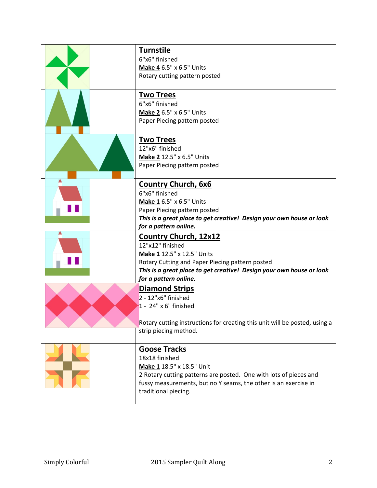| <b>Turnstile</b><br>6"x6" finished<br>Make 4 6.5" x 6.5" Units<br>Rotary cutting pattern posted                                                                                                                                    |
|------------------------------------------------------------------------------------------------------------------------------------------------------------------------------------------------------------------------------------|
| <b>Two Trees</b><br>6"x6" finished<br>Make 2 6.5" x 6.5" Units<br>Paper Piecing pattern posted                                                                                                                                     |
| <b>Two Trees</b><br>12"x6" finished<br>Make 2 12.5" x 6.5" Units<br>Paper Piecing pattern posted                                                                                                                                   |
| <b>Country Church, 6x6</b><br>6"x6" finished<br>Make 1 6.5" x 6.5" Units<br>Paper Piecing pattern posted<br>This is a great place to get creative! Design your own house or look<br>for a pattern online.                          |
| Country Church, 12x12<br>12"x12" finished<br>Make 1 12.5" x 12.5" Units<br>Rotary Cutting and Paper Piecing pattern posted<br>This is a great place to get creative! Design your own house or look<br>for a pattern online.        |
| <b>Diamond Strips</b><br>$2 - 12"x6"$ finished<br>1 - 24" x 6" finished<br>Rotary cutting instructions for creating this unit will be posted, using a<br>strip piecing method.                                                     |
| <b>Goose Tracks</b><br>18x18 finished<br>Make 1 18.5" x 18.5" Unit<br>2 Rotary cutting patterns are posted. One with lots of pieces and<br>fussy measurements, but no Y seams, the other is an exercise in<br>traditional piecing. |